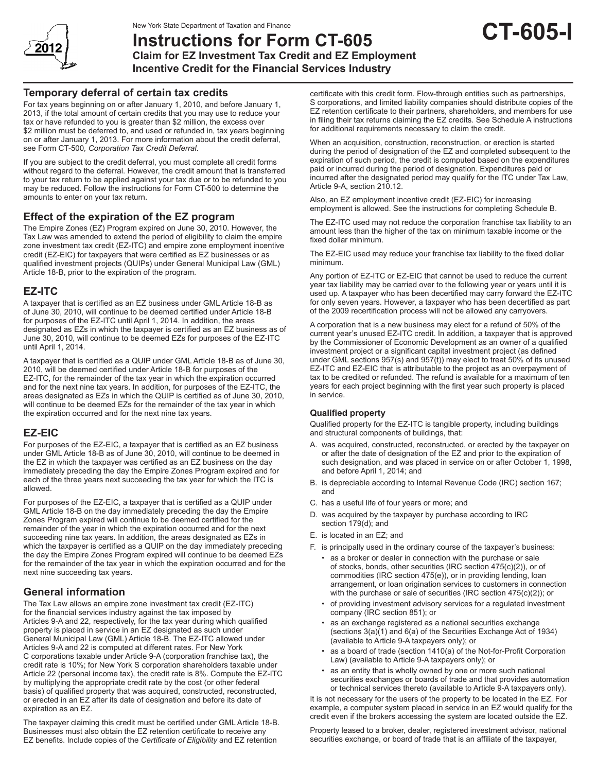

# **Instructions for Form CT-605 Claim for EZ Investment Tax Credit and EZ Employment**

**Incentive Credit for the Financial Services Industry**

# **Temporary deferral of certain tax credits**

For tax years beginning on or after January 1, 2010, and before January 1, 2013, if the total amount of certain credits that you may use to reduce your tax or have refunded to you is greater than \$2 million, the excess over \$2 million must be deferred to, and used or refunded in, tax years beginning on or after January 1, 2013. For more information about the credit deferral, see Form CT-500*, Corporation Tax Credit Deferral*.

If you are subject to the credit deferral, you must complete all credit forms without regard to the deferral. However, the credit amount that is transferred to your tax return to be applied against your tax due or to be refunded to you may be reduced. Follow the instructions for Form CT-500 to determine the amounts to enter on your tax return.

# **Effect of the expiration of the EZ program**

The Empire Zones (EZ) Program expired on June 30, 2010. However, the Tax Law was amended to extend the period of eligibility to claim the empire zone investment tax credit (EZ-ITC) and empire zone employment incentive credit (EZ-EIC) for taxpayers that were certified as EZ businesses or as qualified investment projects (QUIPs) under General Municipal Law (GML) Article 18-B, prior to the expiration of the program.

# **EZ-ITC**

A taxpayer that is certified as an EZ business under GML Article 18-B as of June 30, 2010, will continue to be deemed certified under Article 18-B for purposes of the EZ-ITC until April 1, 2014. In addition, the areas designated as EZs in which the taxpayer is certified as an EZ business as of June 30, 2010, will continue to be deemed EZs for purposes of the EZ-ITC until April 1, 2014.

A taxpayer that is certified as a QUIP under GML Article 18-B as of June 30, 2010, will be deemed certified under Article 18-B for purposes of the EZ-ITC, for the remainder of the tax year in which the expiration occurred and for the next nine tax years. In addition, for purposes of the EZ-ITC, the areas designated as EZs in which the QUIP is certified as of June 30, 2010, will continue to be deemed EZs for the remainder of the tax year in which the expiration occurred and for the next nine tax years.

# **EZ-EIC**

For purposes of the EZ-EIC, a taxpayer that is certified as an EZ business under GML Article 18-B as of June 30, 2010, will continue to be deemed in the EZ in which the taxpayer was certified as an EZ business on the day immediately preceding the day the Empire Zones Program expired and for each of the three years next succeeding the tax year for which the ITC is allowed.

For purposes of the EZ-EIC, a taxpayer that is certified as a QUIP under GML Article 18-B on the day immediately preceding the day the Empire Zones Program expired will continue to be deemed certified for the remainder of the year in which the expiration occurred and for the next succeeding nine tax years. In addition, the areas designated as EZs in which the taxpayer is certified as a QUIP on the day immediately preceding the day the Empire Zones Program expired will continue to be deemed EZs for the remainder of the tax year in which the expiration occurred and for the next nine succeeding tax years.

# **General information**

The Tax Law allows an empire zone investment tax credit (EZ-ITC) for the financial services industry against the tax imposed by Articles 9-A and 22, respectively, for the tax year during which qualified property is placed in service in an EZ designated as such under General Municipal Law (GML) Article 18-B. The EZ-ITC allowed under Articles 9-A and 22 is computed at different rates. For New York C corporations taxable under Article 9-A (corporation franchise tax), the credit rate is 10%; for New York S corporation shareholders taxable under Article 22 (personal income tax), the credit rate is 8%. Compute the EZ-ITC by multiplying the appropriate credit rate by the cost (or other federal basis) of qualified property that was acquired, constructed, reconstructed, or erected in an EZ after its date of designation and before its date of expiration as an EZ.

The taxpayer claiming this credit must be certified under GML Article 18-B. Businesses must also obtain the EZ retention certificate to receive any EZ benefits. Include copies of the *Certificate of Eligibility* and EZ retention

certificate with this credit form. Flow-through entities such as partnerships, S corporations, and limited liability companies should distribute copies of the EZ retention certificate to their partners, shareholders, and members for use in filing their tax returns claiming the EZ credits. See Schedule A instructions for additional requirements necessary to claim the credit.

**CT-605-I**

When an acquisition, construction, reconstruction, or erection is started during the period of designation of the EZ and completed subsequent to the expiration of such period, the credit is computed based on the expenditures paid or incurred during the period of designation. Expenditures paid or incurred after the designated period may qualify for the ITC under Tax Law, Article 9-A, section 210.12.

Also, an EZ employment incentive credit (EZ-EIC) for increasing employment is allowed. See the instructions for completing Schedule B.

The EZ-ITC used may not reduce the corporation franchise tax liability to an amount less than the higher of the tax on minimum taxable income or the fixed dollar minimum.

The EZ-EIC used may reduce your franchise tax liability to the fixed dollar minimum.

Any portion of EZ-ITC or EZ-EIC that cannot be used to reduce the current year tax liability may be carried over to the following year or years until it is used up. A taxpayer who has been decertified may carry forward the EZ-ITC for only seven years. However, a taxpayer who has been decertified as part of the 2009 recertification process will not be allowed any carryovers.

A corporation that is a new business may elect for a refund of 50% of the current year's unused EZ-ITC credit. In addition, a taxpayer that is approved by the Commissioner of Economic Development as an owner of a qualified investment project or a significant capital investment project (as defined under GML sections 957(s) and 957(t)) may elect to treat 50% of its unused EZ-ITC and EZ-EIC that is attributable to the project as an overpayment of tax to be credited or refunded. The refund is available for a maximum of ten years for each project beginning with the first year such property is placed in service.

# **Qualified property**

Qualified property for the EZ-ITC is tangible property, including buildings and structural components of buildings, that:

- A. was acquired, constructed, reconstructed, or erected by the taxpayer on or after the date of designation of the EZ and prior to the expiration of such designation, and was placed in service on or after October 1, 1998, and before April 1, 2014; and
- B. is depreciable according to Internal Revenue Code (IRC) section 167; and
- C. has a useful life of four years or more; and
- D. was acquired by the taxpayer by purchase according to IRC section 179(d); and
- E. is located in an EZ; and
- F. is principally used in the ordinary course of the taxpayer's business:
	- as a broker or dealer in connection with the purchase or sale of stocks, bonds, other securities (IRC section 475(c)(2)), or of commodities (IRC section 475(e)), or in providing lending, loan arrangement, or loan origination services to customers in connection with the purchase or sale of securities (IRC section 475(c)(2)); or
	- of providing investment advisory services for a regulated investment company (IRC section 851); or
	- as an exchange registered as a national securities exchange (sections 3(a)(1) and 6(a) of the Securities Exchange Act of 1934) (available to Article 9-A taxpayers only); or
	- as a board of trade (section 1410(a) of the Not-for-Profit Corporation Law) (available to Article 9-A taxpayers only); or
	- as an entity that is wholly owned by one or more such national securities exchanges or boards of trade and that provides automation or technical services thereto (available to Article 9-A taxpayers only).

It is not necessary for the users of the property to be located in the EZ. For example, a computer system placed in service in an EZ would qualify for the credit even if the brokers accessing the system are located outside the EZ.

Property leased to a broker, dealer, registered investment advisor, national securities exchange, or board of trade that is an affiliate of the taxpayer,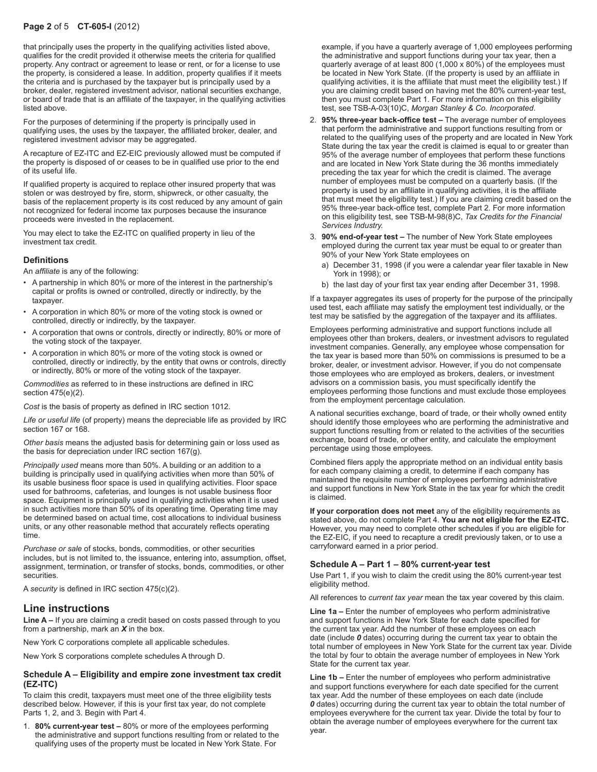# **Page 2** of 5 **CT-605-I** (2012)

that principally uses the property in the qualifying activities listed above, qualifies for the credit provided it otherwise meets the criteria for qualified property. Any contract or agreement to lease or rent, or for a license to use the property, is considered a lease. In addition, property qualifies if it meets the criteria and is purchased by the taxpayer but is principally used by a broker, dealer, registered investment advisor, national securities exchange, or board of trade that is an affiliate of the taxpayer, in the qualifying activities listed above.

For the purposes of determining if the property is principally used in qualifying uses, the uses by the taxpayer, the affiliated broker, dealer, and registered investment advisor may be aggregated.

A recapture of EZ-ITC and EZ-EIC previously allowed must be computed if the property is disposed of or ceases to be in qualified use prior to the end of its useful life.

If qualified property is acquired to replace other insured property that was stolen or was destroyed by fire, storm, shipwreck, or other casualty, the basis of the replacement property is its cost reduced by any amount of gain not recognized for federal income tax purposes because the insurance proceeds were invested in the replacement.

You may elect to take the EZ-ITC on qualified property in lieu of the investment tax credit.

# **Definitions**

An *affiliate* is any of the following:

- A partnership in which 80% or more of the interest in the partnership's capital or profits is owned or controlled, directly or indirectly, by the taxpayer.
- A corporation in which 80% or more of the voting stock is owned or controlled, directly or indirectly, by the taxpayer.
- A corporation that owns or controls, directly or indirectly, 80% or more of the voting stock of the taxpayer.
- A corporation in which 80% or more of the voting stock is owned or controlled, directly or indirectly, by the entity that owns or controls, directly or indirectly, 80% or more of the voting stock of the taxpayer.

*Commodities* as referred to in these instructions are defined in IRC section 475(e)(2).

*Cost* is the basis of property as defined in IRC section 1012.

*Life or useful life* (of property) means the depreciable life as provided by IRC section 167 or 168.

*Other basis* means the adjusted basis for determining gain or loss used as the basis for depreciation under IRC section 167(g).

*Principally used* means more than 50%. A building or an addition to a building is principally used in qualifying activities when more than 50% of its usable business floor space is used in qualifying activities. Floor space used for bathrooms, cafeterias, and lounges is not usable business floor space. Equipment is principally used in qualifying activities when it is used in such activities more than 50% of its operating time. Operating time may be determined based on actual time, cost allocations to individual business units, or any other reasonable method that accurately reflects operating time.

*Purchase or sale* of stocks, bonds, commodities, or other securities includes, but is not limited to, the issuance, entering into, assumption, offset, assignment, termination, or transfer of stocks, bonds, commodities, or other securities.

A *security* is defined in IRC section 475(c)(2).

# **Line instructions**

**Line A –** If you are claiming a credit based on costs passed through to you from a partnership, mark an *X* in the box.

New York C corporations complete all applicable schedules.

New York S corporations complete schedules A through D.

### **Schedule A – Eligibility and empire zone investment tax credit (EZ-ITC)**

To claim this credit, taxpayers must meet one of the three eligibility tests described below. However, if this is your first tax year, do not complete Parts 1, 2, and 3. Begin with Part 4.

1. **80% current-year test –** 80% or more of the employees performing the administrative and support functions resulting from or related to the qualifying uses of the property must be located in New York State. For

example, if you have a quarterly average of 1,000 employees performing the administrative and support functions during your tax year, then a quarterly average of at least 800 (1,000 x 80%) of the employees must be located in New York State. (If the property is used by an affiliate in qualifying activities, it is the affiliate that must meet the eligibility test.) If you are claiming credit based on having met the 80% current-year test, then you must complete Part 1. For more information on this eligibility test, see TSB-A-03(10)C, *Morgan Stanley & Co. Incorporated*.

- 2. **95% three-year back-office test –** The average number of employees that perform the administrative and support functions resulting from or related to the qualifying uses of the property and are located in New York State during the tax year the credit is claimed is equal to or greater than 95% of the average number of employees that perform these functions and are located in New York State during the 36 months immediately preceding the tax year for which the credit is claimed. The average number of employees must be computed on a quarterly basis. (If the property is used by an affiliate in qualifying activities, it is the affiliate that must meet the eligibility test.) If you are claiming credit based on the 95% three-year back-office test, complete Part 2. For more information on this eligibility test, see TSB-M-98(8)C, *Tax Credits for the Financial Services Industry.*
- 3. **90% end-of-year test –** The number of New York State employees employed during the current tax year must be equal to or greater than 90% of your New York State employees on
	- a) December 31, 1998 (if you were a calendar year filer taxable in New York in 1998); or
	- b) the last day of your first tax year ending after December 31, 1998.

If a taxpayer aggregates its uses of property for the purpose of the principally used test, each affiliate may satisfy the employment test individually, or the test may be satisfied by the aggregation of the taxpayer and its affiliates.

Employees performing administrative and support functions include all employees other than brokers, dealers, or investment advisors to regulated investment companies. Generally, any employee whose compensation for the tax year is based more than 50% on commissions is presumed to be a broker, dealer, or investment advisor. However, if you do not compensate those employees who are employed as brokers, dealers, or investment advisors on a commission basis, you must specifically identify the employees performing those functions and must exclude those employees from the employment percentage calculation.

A national securities exchange, board of trade, or their wholly owned entity should identify those employees who are performing the administrative and support functions resulting from or related to the activities of the securities exchange, board of trade, or other entity, and calculate the employment percentage using those employees.

Combined filers apply the appropriate method on an individual entity basis for each company claiming a credit, to determine if each company has maintained the requisite number of employees performing administrative and support functions in New York State in the tax year for which the credit is claimed.

**If your corporation does not meet** any of the eligibility requirements as stated above, do not complete Part 4. **You are not eligible for the EZ-ITC.** However, you may need to complete other schedules if you are eligible for the EZ-EIC, if you need to recapture a credit previously taken, or to use a carryforward earned in a prior period.

### **Schedule A – Part 1 – 80% current-year test**

Use Part 1, if you wish to claim the credit using the 80% current-year test eligibility method.

All references to *current tax year* mean the tax year covered by this claim.

**Line 1a –** Enter the number of employees who perform administrative and support functions in New York State for each date specified for the current tax year. Add the number of these employees on each date (include *0* dates) occurring during the current tax year to obtain the total number of employees in New York State for the current tax year. Divide the total by four to obtain the average number of employees in New York State for the current tax year.

**Line 1b –** Enter the number of employees who perform administrative and support functions everywhere for each date specified for the current tax year. Add the number of these employees on each date (include *0* dates) occurring during the current tax year to obtain the total number of employees everywhere for the current tax year. Divide the total by four to obtain the average number of employees everywhere for the current tax year.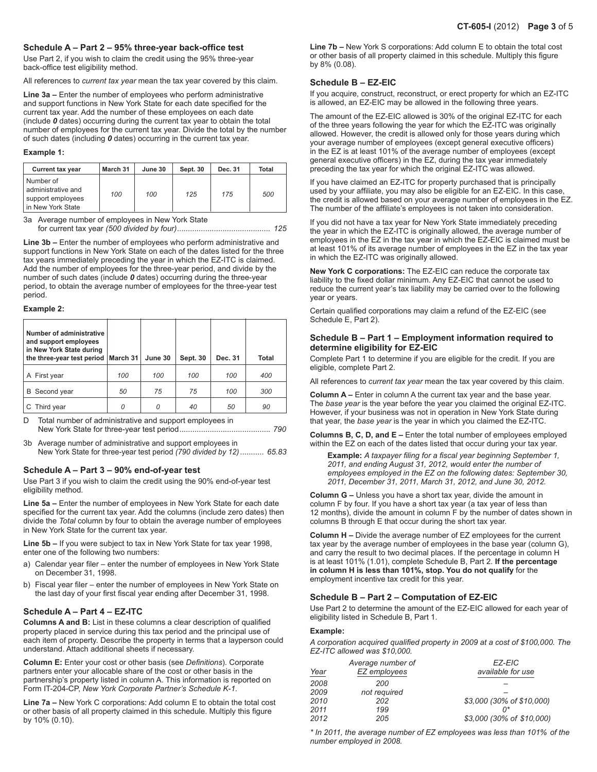# **Schedule A – Part 2 – 95% three-year back‑office test**

Use Part 2, if you wish to claim the credit using the 95% three-year back‑office test eligibility method.

All references to *current tax year* mean the tax year covered by this claim.

**Line 3a –** Enter the number of employees who perform administrative and support functions in New York State for each date specified for the current tax year. Add the number of these employees on each date (include *0* dates) occurring during the current tax year to obtain the total number of employees for the current tax year. Divide the total by the number of such dates (including *0* dates) occurring in the current tax year.

#### **Example 1:**

| <b>Current tax year</b>                                                   | March 31 | June 30 | Sept. 30 | Dec. 31 | Total |
|---------------------------------------------------------------------------|----------|---------|----------|---------|-------|
| Number of<br>administrative and<br>support employees<br>in New York State | 100      | 100     | 125      | 175     | 500   |

3a Average number of employees in New York State for current tax year *(500 divided by four)........................................... 125*

**Line 3b –** Enter the number of employees who perform administrative and support functions in New York State on each of the dates listed for the three tax years immediately preceding the year in which the EZ-ITC is claimed. Add the number of employees for the three-year period, and divide by the number of such dates (include *0* dates) occurring during the three-year period, to obtain the average number of employees for the three-year test period.

#### **Example 2:**

| Number of administrative<br>and support employees<br>in New York State during<br>the three-year test period   March 31 |     | June 30 | <b>Sept. 30</b> | Dec. 31 | Total |
|------------------------------------------------------------------------------------------------------------------------|-----|---------|-----------------|---------|-------|
| A First year                                                                                                           | 100 | 100     | 100             | 100     | 400   |
| Second year<br>B                                                                                                       | 50  | 75      | 75              | 100     | 300   |
| Third year                                                                                                             | 0   | Ω       | 40              | 50      | 90    |

D Total number of administrative and support employees in New York State for three-year test period.......................................... *790*

3b Average number of administrative and support employees in New York State for three-year test period *(790 divided by 12)*........... *65.83*

### **Schedule A – Part 3 – 90% end-of-year test**

Use Part 3 if you wish to claim the credit using the 90% end-of-year test eligibility method.

**Line 5a –** Enter the number of employees in New York State for each date specified for the current tax year. Add the columns (include zero dates) then divide the *Total* column by four to obtain the average number of employees in New York State for the current tax year.

**Line 5b –** If you were subject to tax in New York State for tax year 1998, enter one of the following two numbers:

- a) Calendar year filer enter the number of employees in New York State on December 31, 1998.
- b) Fiscal year filer enter the number of employees in New York State on the last day of your first fiscal year ending after December 31, 1998.

# **Schedule A – Part 4 – EZ-ITC**

**Columns A and B:** List in these columns a clear description of qualified property placed in service during this tax period and the principal use of each item of property. Describe the property in terms that a layperson could understand. Attach additional sheets if necessary.

**Column E:** Enter your cost or other basis (see *Definitions*). Corporate partners enter your allocable share of the cost or other basis in the partnership's property listed in column A. This information is reported on Form IT-204-CP, *New York Corporate Partner's Schedule K-1*.

**Line 7a –** New York C corporations: Add column E to obtain the total cost or other basis of all property claimed in this schedule. Multiply this figure by 10% (0.10).

**Line 7b –** New York S corporations: Add column E to obtain the total cost or other basis of all property claimed in this schedule. Multiply this figure by 8% (0.08).

# **Schedule B – EZ-EIC**

If you acquire, construct, reconstruct, or erect property for which an EZ-ITC is allowed, an EZ-EIC may be allowed in the following three years.

The amount of the EZ-EIC allowed is 30% of the original EZ-ITC for each of the three years following the year for which the EZ-ITC was originally allowed. However, the credit is allowed only for those years during which your average number of employees (except general executive officers) in the EZ is at least 101% of the average number of employees (except general executive officers) in the EZ, during the tax year immediately preceding the tax year for which the original EZ-ITC was allowed.

If you have claimed an EZ-ITC for property purchased that is principally used by your affiliate, you may also be eligible for an EZ-EIC. In this case, the credit is allowed based on your average number of employees in the EZ. The number of the affiliate's employees is not taken into consideration.

If you did not have a tax year for New York State immediately preceding the year in which the EZ-ITC is originally allowed, the average number of employees in the EZ in the tax year in which the EZ-EIC is claimed must be at least 101% of its average number of employees in the EZ in the tax year in which the EZ-ITC was originally allowed.

**New York C corporations:** The EZ-EIC can reduce the corporate tax liability to the fixed dollar minimum. Any EZ-EIC that cannot be used to reduce the current year's tax liability may be carried over to the following year or years.

Certain qualified corporations may claim a refund of the EZ-EIC (see Schedule E, Part 2).

### **Schedule B – Part 1 – Employment information required to determine eligibility for EZ-EIC**

Complete Part 1 to determine if you are eligible for the credit. If you are eligible, complete Part 2.

All references to *current tax year* mean the tax year covered by this claim.

**Column A –** Enter in column A the current tax year and the base year. The *base year* is the year before the year you claimed the original EZ-ITC. However, if your business was not in operation in New York State during that year, the *base year* is the year in which you claimed the EZ-ITC.

**Columns B, C, D, and E –** Enter the total number of employees employed within the EZ on each of the dates listed that occur during your tax year.

**Example:** *A taxpayer filing for a fiscal year beginning September 1, 2011, and ending August 31, 2012, would enter the number of employees employed in the EZ on the following dates: September 30, 2011, December 31, 2011, March 31, 2012, and June 30, 2012.*

**Column G –** Unless you have a short tax year, divide the amount in column F by four. If you have a short tax year (a tax year of less than 12 months), divide the amount in column F by the number of dates shown in columns B through E that occur during the short tax year.

**Column H –** Divide the average number of EZ employees for the current tax year by the average number of employees in the base year (column G), and carry the result to two decimal places. If the percentage in column H is at least 101% (1.01), complete Schedule B, Part 2. **If the percentage in column H is less than 101%, stop. You do not qualify** for the employment incentive tax credit for this year.

### **Schedule B – Part 2 – Computation of EZ-EIC**

Use Part 2 to determine the amount of the EZ-EIC allowed for each year of eligibility listed in Schedule B, Part 1.

#### **Example:**

*A corporation acquired qualified property in 2009 at a cost of \$100,000. The EZ-ITC allowed was \$10,000.*

|      | Average number of | EZ-EIC                    |
|------|-------------------|---------------------------|
| Year | EZ employees      | available for use         |
| 2008 | 200               |                           |
| 2009 | not required      |                           |
| 2010 | 202               | \$3,000 (30% of \$10,000) |
| 2011 | 199               | n*                        |
| 2012 | 205               | \$3,000 (30% of \$10,000) |

*\* In 2011, the average number of EZ employees was less than 101% of the number employed in 2008.*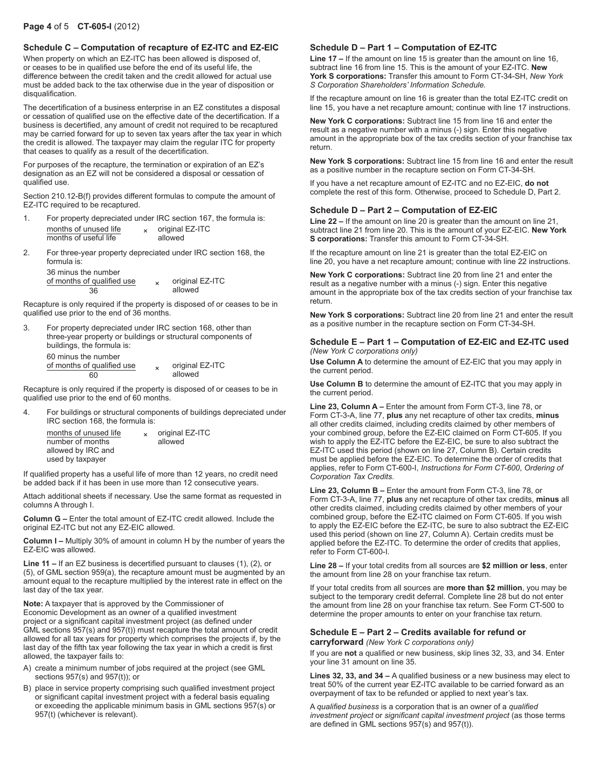# **Schedule C – Computation of recapture of EZ-ITC and EZ-EIC**

When property on which an EZ-ITC has been allowed is disposed of, or ceases to be in qualified use before the end of its useful life, the difference between the credit taken and the credit allowed for actual use must be added back to the tax otherwise due in the year of disposition or disqualification.

The decertification of a business enterprise in an EZ constitutes a disposal or cessation of qualified use on the effective date of the decertification. If a business is decertified, any amount of credit not required to be recaptured may be carried forward for up to seven tax years after the tax year in which the credit is allowed. The taxpayer may claim the regular ITC for property that ceases to qualify as a result of the decertification.

For purposes of the recapture, the termination or expiration of an EZ's designation as an EZ will not be considered a disposal or cessation of qualified use.

Section 210.12-B(f) provides different formulas to compute the amount of EZ-ITC required to be recaptured.

| For property depreciated under IRC section 167, the formula is: |                 |  |
|-----------------------------------------------------------------|-----------------|--|
| months of unused life                                           | original EZ-ITC |  |
| months of useful life                                           | allowed         |  |

2. For three-year property depreciated under IRC section 168, the formula is:

| 36 minus the number        |                 |
|----------------------------|-----------------|
| of months of qualified use | original EZ-ITC |
| 36                         | allowed         |

Recapture is only required if the property is disposed of or ceases to be in qualified use prior to the end of 36 months.

3. For property depreciated under IRC section 168, other than three-year property or buildings or structural components of buildings, the formula is: 60 minus the number of months of qualified use <br>60 x original EZ-ITC<br>allowed 60 allowed

Recapture is only required if the property is disposed of or ceases to be in qualified use prior to the end of 60 months.

4. For buildings or structural components of buildings depreciated under IRC section 168, the formula is:

| months of unused life | $\mathbf{x}$ | original EZ-ITC |
|-----------------------|--------------|-----------------|
| number of months      |              | allowed         |
| allowed by IRC and    |              |                 |
| used by taxpayer      |              |                 |

If qualified property has a useful life of more than 12 years, no credit need be added back if it has been in use more than 12 consecutive years.

Attach additional sheets if necessary. Use the same format as requested in columns A through I.

**Column G –** Enter the total amount of EZ-ITC credit allowed. Include the original EZ-ITC but not any EZ-EIC allowed.

**Column I –** Multiply 30% of amount in column H by the number of years the EZ-EIC was allowed.

**Line 11 –** If an EZ business is decertified pursuant to clauses (1), (2), or (5), of GML section 959(a), the recapture amount must be augmented by an amount equal to the recapture multiplied by the interest rate in effect on the last day of the tax year.

**Note:** A taxpayer that is approved by the Commissioner of Economic Development as an owner of a qualified investment project or a significant capital investment project (as defined under GML sections 957(s) and 957(t)) must recapture the total amount of credit allowed for all tax years for property which comprises the projects if, by the last day of the fifth tax year following the tax year in which a credit is first allowed, the taxpayer fails to:

- A) create a minimum number of jobs required at the project (see GML sections 957(s) and 957(t)); or
- B) place in service property comprising such qualified investment project or significant capital investment project with a federal basis equaling or exceeding the applicable minimum basis in GML sections 957(s) or 957(t) (whichever is relevant).

## **Schedule D – Part 1 – Computation of EZ-ITC**

**Line 17 –** If the amount on line 15 is greater than the amount on line 16, subtract line 16 from line 15. This is the amount of your EZ-ITC. **New York S corporations:** Transfer this amount to Form CT-34-SH, *New York S Corporation Shareholders' Information Schedule.*

If the recapture amount on line 16 is greater than the total EZ-ITC credit on line 15, you have a net recapture amount; continue with line 17 instructions.

**New York C corporations:** Subtract line 15 from line 16 and enter the result as a negative number with a minus (-) sign. Enter this negative amount in the appropriate box of the tax credits section of your franchise tax return.

**New York S corporations:** Subtract line 15 from line 16 and enter the result as a positive number in the recapture section on Form CT-34-SH.

If you have a net recapture amount of EZ-ITC and no EZ-EIC, **do not** complete the rest of this form. Otherwise, proceed to Schedule D, Part 2.

# **Schedule D – Part 2 – Computation of EZ-EIC**

**Line 22 –** If the amount on line 20 is greater than the amount on line 21, subtract line 21 from line 20. This is the amount of your EZ-EIC. **New York S corporations:** Transfer this amount to Form CT-34-SH.

If the recapture amount on line 21 is greater than the total EZ-EIC on line 20, you have a net recapture amount; continue with line 22 instructions.

**New York C corporations:** Subtract line 20 from line 21 and enter the result as a negative number with a minus (-) sign. Enter this negative amount in the appropriate box of the tax credits section of your franchise tax return.

**New York S corporations:** Subtract line 20 from line 21 and enter the result as a positive number in the recapture section on Form CT-34-SH.

#### **Schedule E – Part 1 – Computation of EZ-EIC and EZ-ITC used**  *(New York C corporations only)*

**Use Column A** to determine the amount of EZ-EIC that you may apply in the current period.

**Use Column B** to determine the amount of EZ-ITC that you may apply in the current period.

**Line 23, Column A –** Enter the amount from Form CT-3, line 78, or Form CT-3-A, line 77, **plus** any net recapture of other tax credits, **minus** all other credits claimed, including credits claimed by other members of your combined group, before the EZ-EIC claimed on Form CT-605. If you wish to apply the EZ-ITC before the EZ-EIC, be sure to also subtract the EZ-ITC used this period (shown on line 27, Column B). Certain credits must be applied before the EZ-EIC. To determine the order of credits that applies, refer to Form CT-600-I, *Instructions for Form CT-600*, *Ordering of Corporation Tax Credits*.

**Line 23, Column B –** Enter the amount from Form CT-3, line 78, or Form CT-3-A, line 77, **plus** any net recapture of other tax credits, **minus** all other credits claimed, including credits claimed by other members of your combined group, before the EZ-ITC claimed on Form CT-605. If you wish to apply the EZ-EIC before the EZ-ITC, be sure to also subtract the EZ-EIC used this period (shown on line 27, Column A). Certain credits must be applied before the EZ-ITC. To determine the order of credits that applies, refer to Form CT-600-I.

**Line 28 –** If your total credits from all sources are **\$2 million or less**, enter the amount from line 28 on your franchise tax return.

If your total credits from all sources are **more than \$2 million**, you may be subject to the temporary credit deferral. Complete line 28 but do not enter the amount from line 28 on your franchise tax return. See Form CT-500 to determine the proper amounts to enter on your franchise tax return.

## **Schedule E – Part 2 – Credits available for refund or carryforward** *(New York C corporations only)*

If you are **not** a qualified or new business, skip lines 32, 33, and 34. Enter your line 31 amount on line 35.

**Lines 32, 33, and 34 –** A qualified business or a new business may elect to treat 50% of the current year EZ-ITC available to be carried forward as an overpayment of tax to be refunded or applied to next year's tax.

A *qualified business* is a corporation that is an owner of a *qualified investment project* or *significant capital investment project* (as those terms are defined in GML sections 957(s) and 957(t)).